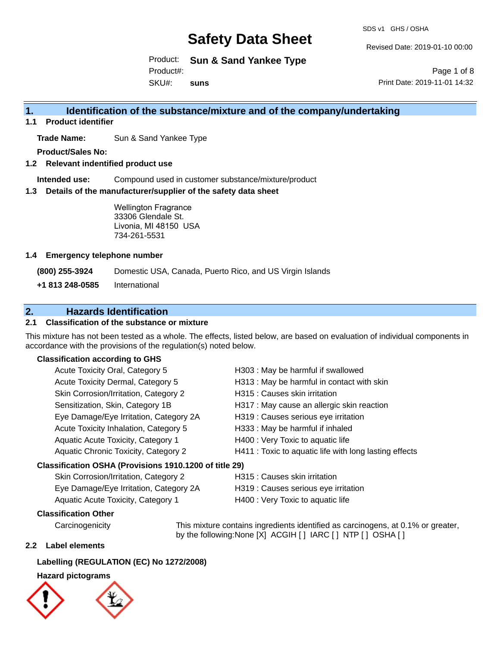SDS v1 GHS / OSHA

Revised Date: 2019-01-10 00:00

Product: **Sun & Sand Yankee Type** SKU#: Product#: **suns**

Page 1 of 8 Print Date: 2019-11-01 14:32

## **1. Identification of the substance/mixture and of the company/undertaking**

**1.1 Product identifier**

**Trade Name:** Sun & Sand Yankee Type

**Product/Sales No:**

**1.2 Relevant indentified product use**

**Intended use:** Compound used in customer substance/mixture/product

**1.3 Details of the manufacturer/supplier of the safety data sheet**

Wellington Fragrance 33306 Glendale St. Livonia, MI 48150 USA 734-261-5531

### **1.4 Emergency telephone number**

**(800) 255-3924** Domestic USA, Canada, Puerto Rico, and US Virgin Islands

**+1 813 248-0585** International

## **2. Hazards Identification**

### **2.1 Classification of the substance or mixture**

This mixture has not been tested as a whole. The effects, listed below, are based on evaluation of individual components in accordance with the provisions of the regulation(s) noted below.

### **Classification according to GHS**

| Acute Toxicity Oral, Category 5                        | H303 : May be harmful if swallowed                     |
|--------------------------------------------------------|--------------------------------------------------------|
| Acute Toxicity Dermal, Category 5                      | H313 : May be harmful in contact with skin             |
| Skin Corrosion/Irritation, Category 2                  | H315 : Causes skin irritation                          |
| Sensitization, Skin, Category 1B                       | H317 : May cause an allergic skin reaction             |
| Eye Damage/Eye Irritation, Category 2A                 | H319 : Causes serious eye irritation                   |
| Acute Toxicity Inhalation, Category 5                  | H333: May be harmful if inhaled                        |
| Aquatic Acute Toxicity, Category 1                     | H400 : Very Toxic to aquatic life                      |
| Aquatic Chronic Toxicity, Category 2                   | H411 : Toxic to aquatic life with long lasting effects |
| Classification OSHA (Provisions 1910.1200 of title 29) |                                                        |
| Skin Corrosion/Irritation. Category 2                  | H315 : Causes skin irritation                          |

| Skin Corrosion/Irritation, Category 2<br>H315 : Caus |  |  |
|------------------------------------------------------|--|--|
|                                                      |  |  |

| Eye Damage/Eye Irritation, Category 2A | H319 : Causes serious eye irritation |
|----------------------------------------|--------------------------------------|
| Aquatic Acute Toxicity, Category 1     | H400 : Very Toxic to aquatic life    |

### **Classification Other**

by the following:None [X] ACGIH [ ] IARC [ ] NTP [ ] OSHA [ ]

### **2.2 Label elements**

### **Labelling (REGULATION (EC) No 1272/2008)**

### **Hazard pictograms**





Carcinogenicity This mixture contains ingredients identified as carcinogens, at 0.1% or greater,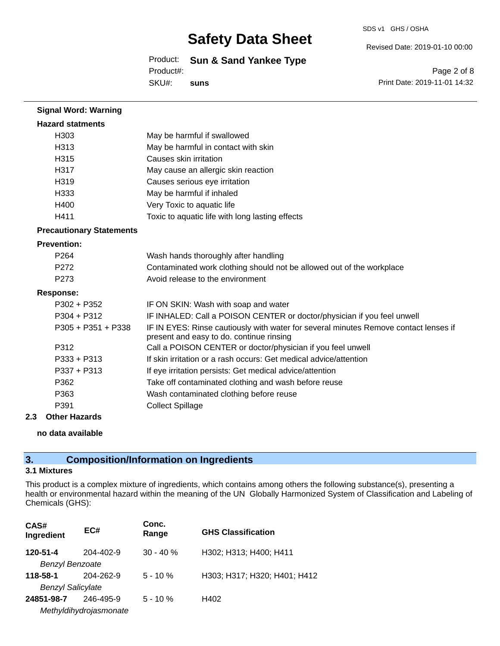#### SDS v1 GHS / OSHA

# **Safety Data Sheet**

Product: **Sun & Sand Yankee Type** SKU#: Product#: **suns**

Page 2 of 8 Print Date: 2019-11-01 14:32

Revised Date: 2019-01-10 00:00

**Signal Word: Warning Hazard statments** H303 May be harmful if swallowed H313 May be harmful in contact with skin H315 Causes skin irritation H317 May cause an allergic skin reaction H319 Causes serious eye irritation H333 May be harmful if inhaled H400 Very Toxic to aquatic life H411 Toxic to aquatic life with long lasting effects **Precautionary Statements Prevention:** P264 Wash hands thoroughly after handling P272 Contaminated work clothing should not be allowed out of the workplace P273 Avoid release to the environment **Response:** P302 + P352 IF ON SKIN: Wash with soap and water P304 + P312 IF INHALED: Call a POISON CENTER or doctor/physician if you feel unwell P305 + P351 + P338 IF IN EYES: Rinse cautiously with water for several minutes Remove contact lenses if present and easy to do. continue rinsing P312 Call a POISON CENTER or doctor/physician if you feel unwell P333 + P313 If skin irritation or a rash occurs: Get medical advice/attention P337 + P313 If eye irritation persists: Get medical advice/attention P362 Take off contaminated clothing and wash before reuse P363 Wash contaminated clothing before reuse P391 Collect Spillage

### **2.3 Other Hazards**

#### **no data available**

### **3. Composition/Information on Ingredients**

### **3.1 Mixtures**

This product is a complex mixture of ingredients, which contains among others the following substance(s), presenting a health or environmental hazard within the meaning of the UN Globally Harmonized System of Classification and Labeling of Chemicals (GHS):

| CAS#<br>Ingredient       | EC#                    | Conc.<br>Range | <b>GHS Classification</b>    |
|--------------------------|------------------------|----------------|------------------------------|
| 120-51-4                 | 204-402-9              | $30 - 40 \%$   | H302; H313; H400; H411       |
| <b>Benzyl Benzoate</b>   |                        |                |                              |
| 118-58-1                 | 204-262-9              | $5 - 10%$      | H303; H317; H320; H401; H412 |
| <b>Benzyl Salicylate</b> |                        |                |                              |
| 24851-98-7               | 246-495-9              | $5 - 10%$      | H402                         |
|                          | Methyldihydrojasmonate |                |                              |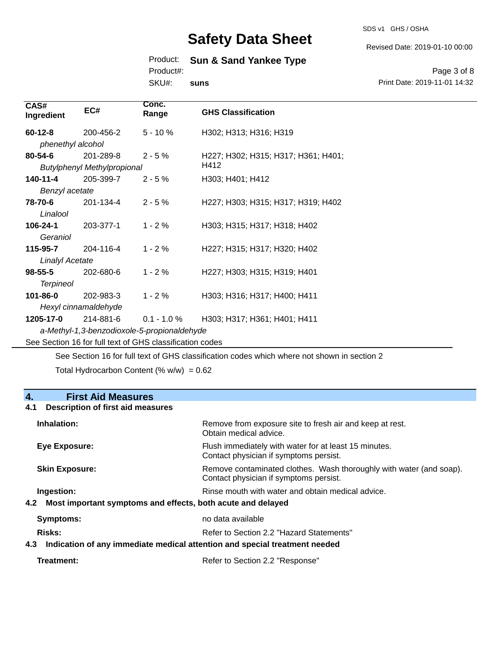SDS v1 GHS / OSHA

Revised Date: 2019-01-10 00:00

### Product: **Sun & Sand Yankee Type**

Product#:

SKU#: **suns**

Page 3 of 8 Print Date: 2019-11-01 14:32

| CAS#<br>Ingredient                                       | EC#                                         | Conc.<br>Range | <b>GHS Classification</b>           |  |  |  |
|----------------------------------------------------------|---------------------------------------------|----------------|-------------------------------------|--|--|--|
| $60 - 12 - 8$                                            | 200-456-2                                   | $5 - 10%$      | H302; H313; H316; H319              |  |  |  |
| phenethyl alcohol                                        |                                             |                |                                     |  |  |  |
| 80-54-6                                                  | 201-289-8                                   | $2 - 5%$       | H227; H302; H315; H317; H361; H401; |  |  |  |
|                                                          | <b>Butylphenyl Methylpropional</b>          |                | H412                                |  |  |  |
| 140-11-4                                                 | 205-399-7                                   | $2 - 5%$       | H303; H401; H412                    |  |  |  |
| Benzyl acetate                                           |                                             |                |                                     |  |  |  |
| 78-70-6                                                  | 201-134-4                                   | $2 - 5%$       | H227; H303; H315; H317; H319; H402  |  |  |  |
| Linalool                                                 |                                             |                |                                     |  |  |  |
| 106-24-1                                                 | 203-377-1                                   | $1 - 2%$       | H303; H315; H317; H318; H402        |  |  |  |
| Geraniol                                                 |                                             |                |                                     |  |  |  |
| 115-95-7                                                 | 204-116-4                                   | $1 - 2%$       | H227; H315; H317; H320; H402        |  |  |  |
| <b>Linalyl Acetate</b>                                   |                                             |                |                                     |  |  |  |
| 98-55-5                                                  | 202-680-6                                   | $1 - 2 \%$     | H227; H303; H315; H319; H401        |  |  |  |
| <b>Terpineol</b>                                         |                                             |                |                                     |  |  |  |
| 101-86-0                                                 | 202-983-3                                   | $1 - 2%$       | H303; H316; H317; H400; H411        |  |  |  |
| Hexyl cinnamaldehyde                                     |                                             |                |                                     |  |  |  |
| 1205-17-0                                                | 214-881-6                                   | $0.1 - 1.0 %$  | H303; H317; H361; H401; H411        |  |  |  |
|                                                          | a-Methyl-1,3-benzodioxole-5-propionaldehyde |                |                                     |  |  |  |
| See Section 16 for full text of GHS classification codes |                                             |                |                                     |  |  |  |
|                                                          |                                             |                |                                     |  |  |  |

See Section 16 for full text of GHS classification codes which where not shown in section 2

Total Hydrocarbon Content (%  $w/w$ ) = 0.62

## **4. First Aid Measures 4.1 Description of first aid measures Inhalation:** Remove from exposure site to fresh air and keep at rest. Obtain medical advice. **Eye Exposure:** Flush immediately with water for at least 15 minutes. Contact physician if symptoms persist. **Skin Exposure: Remove contaminated clothes. Wash thoroughly with water (and soap).** Remove contaminated clothes. Wash thoroughly with water (and soap). Contact physician if symptoms persist. **Ingestion: Rinse mouth with water and obtain medical advice. In all of the state of the Ringestian Medical advice. 4.2 Most important symptoms and effects, both acute and delayed Symptoms:** no data available **Risks:** Risks: Refer to Section 2.2 "Hazard Statements" **4.3 Indication of any immediate medical attention and special treatment needed Treatment:** Refer to Section 2.2 "Response"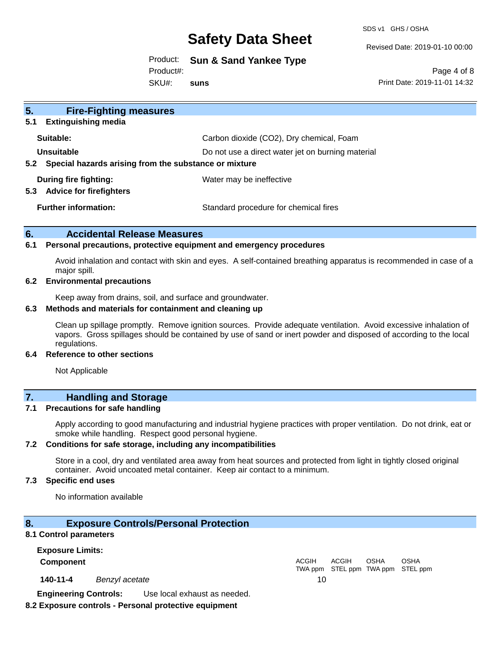SDS v1 GHS / OSHA

Revised Date: 2019-01-10 00:00

Product: **Sun & Sand Yankee Type**

Product#:

SKU#: **suns**

Page 4 of 8 Print Date: 2019-11-01 14:32

| 5 <sub>1</sub><br><b>Fire-Fighting measures</b>                        |                                                   |
|------------------------------------------------------------------------|---------------------------------------------------|
| <b>Extinguishing media</b><br>5.1                                      |                                                   |
| Suitable:                                                              | Carbon dioxide (CO2), Dry chemical, Foam          |
| Unsuitable                                                             | Do not use a direct water jet on burning material |
| Special hazards arising from the substance or mixture<br>$5.2^{\circ}$ |                                                   |
| During fire fighting:<br><b>Advice for firefighters</b><br>5.3         | Water may be ineffective                          |
| <b>Further information:</b>                                            | Standard procedure for chemical fires             |

### **6. Accidental Release Measures**

#### **6.1 Personal precautions, protective equipment and emergency procedures**

Avoid inhalation and contact with skin and eyes. A self-contained breathing apparatus is recommended in case of a major spill.

### **6.2 Environmental precautions**

Keep away from drains, soil, and surface and groundwater.

#### **6.3 Methods and materials for containment and cleaning up**

Clean up spillage promptly. Remove ignition sources. Provide adequate ventilation. Avoid excessive inhalation of vapors. Gross spillages should be contained by use of sand or inert powder and disposed of according to the local regulations.

#### **6.4 Reference to other sections**

Not Applicable

## **7. Handling and Storage**

### **7.1 Precautions for safe handling**

Apply according to good manufacturing and industrial hygiene practices with proper ventilation. Do not drink, eat or smoke while handling. Respect good personal hygiene.

#### **7.2 Conditions for safe storage, including any incompatibilities**

Store in a cool, dry and ventilated area away from heat sources and protected from light in tightly closed original container. Avoid uncoated metal container. Keep air contact to a minimum.

### **7.3 Specific end uses**

No information available

### **8. Exposure Controls/Personal Protection**

### **8.1 Control parameters**

**Exposure Limits: Component** ACGIH

**140-11-4** *Benzyl acetate* 10

TWA ppm STEL ppm TWA ppm STEL ppm ACGIH **OSHA** OSHA

**Engineering Controls:** Use local exhaust as needed.

### **8.2 Exposure controls - Personal protective equipment**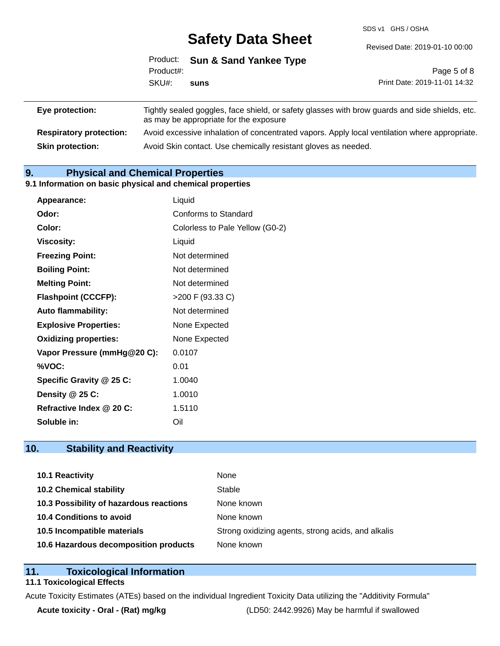SDS v1 GHS / OSHA

|                 |           | Product: Sun & Sand Yankee Type        |                                                                                                |  |
|-----------------|-----------|----------------------------------------|------------------------------------------------------------------------------------------------|--|
|                 | Product#: |                                        | Page 5 of 8                                                                                    |  |
|                 | SKU#:     | suns                                   | Print Date: 2019-11-01 14:32                                                                   |  |
| Eye protection: |           | as may be appropriate for the exposure | Tightly sealed goggles, face shield, or safety glasses with brow guards and side shields, etc. |  |

**Respiratory protection:** Avoid excessive inhalation of concentrated vapors. Apply local ventilation where appropriate. **Skin protection:** Avoid Skin contact. Use chemically resistant gloves as needed.

## **9. Physical and Chemical Properties**

### **9.1 Information on basic physical and chemical properties**

| Appearance:                  | Liquid                          |
|------------------------------|---------------------------------|
| Odor:                        | Conforms to Standard            |
| Color:                       | Colorless to Pale Yellow (G0-2) |
| <b>Viscosity:</b>            | Liquid                          |
| <b>Freezing Point:</b>       | Not determined                  |
| <b>Boiling Point:</b>        | Not determined                  |
| <b>Melting Point:</b>        | Not determined                  |
| <b>Flashpoint (CCCFP):</b>   | >200 F (93.33 C)                |
| <b>Auto flammability:</b>    | Not determined                  |
| <b>Explosive Properties:</b> | None Expected                   |
| <b>Oxidizing properties:</b> | None Expected                   |
| Vapor Pressure (mmHg@20 C):  | 0.0107                          |
| %VOC:                        | 0.01                            |
| Specific Gravity @ 25 C:     | 1.0040                          |
| Density @ 25 C:              | 1.0010                          |
| Refractive Index @ 20 C:     | 1.5110                          |
| Soluble in:                  | Oil                             |

## **10. Stability and Reactivity**

| 10.1 Reactivity                         | None                                               |
|-----------------------------------------|----------------------------------------------------|
| <b>10.2 Chemical stability</b>          | Stable                                             |
| 10.3 Possibility of hazardous reactions | None known                                         |
| 10.4 Conditions to avoid                | None known                                         |
| 10.5 Incompatible materials             | Strong oxidizing agents, strong acids, and alkalis |
| 10.6 Hazardous decomposition products   | None known                                         |

### **11. Toxicological Information**

### **11.1 Toxicological Effects**

Acute Toxicity Estimates (ATEs) based on the individual Ingredient Toxicity Data utilizing the "Additivity Formula"

**Acute toxicity - Oral - (Rat) mg/kg** (LD50: 2442.9926) May be harmful if swallowed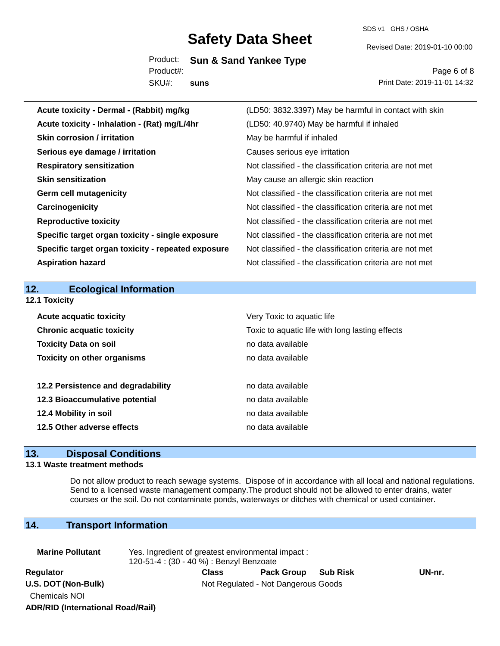SDS v1 GHS / OSHA

Revised Date: 2019-01-10 00:00

Product: **Sun & Sand Yankee Type** SKU#: Product#: **suns**

Page 6 of 8 Print Date: 2019-11-01 14:32

| Acute toxicity - Dermal - (Rabbit) mg/kg           | (LD50: 3832.3397) May be harmful in contact with skin    |
|----------------------------------------------------|----------------------------------------------------------|
| Acute toxicity - Inhalation - (Rat) mg/L/4hr       | (LD50: 40.9740) May be harmful if inhaled                |
| <b>Skin corrosion / irritation</b>                 | May be harmful if inhaled                                |
| Serious eye damage / irritation                    | Causes serious eye irritation                            |
| <b>Respiratory sensitization</b>                   | Not classified - the classification criteria are not met |
| <b>Skin sensitization</b>                          | May cause an allergic skin reaction                      |
| <b>Germ cell mutagenicity</b>                      | Not classified - the classification criteria are not met |
| Carcinogenicity                                    | Not classified - the classification criteria are not met |
| <b>Reproductive toxicity</b>                       | Not classified - the classification criteria are not met |
| Specific target organ toxicity - single exposure   | Not classified - the classification criteria are not met |
| Specific target organ toxicity - repeated exposure | Not classified - the classification criteria are not met |
| <b>Aspiration hazard</b>                           | Not classified - the classification criteria are not met |
|                                                    |                                                          |
|                                                    |                                                          |
| 12.<br><b>Ecological Information</b>               |                                                          |
| 12.1 Toxicity                                      |                                                          |
| <b>Acute acquatic toxicity</b>                     | Very Toxic to aquatic life                               |
| <b>Chronic acquatic toxicity</b>                   | Toxic to aquatic life with long lasting effects          |
| <b>Toxicity Data on soil</b>                       | no data available                                        |
| <b>Toxicity on other organisms</b>                 | no data available                                        |
|                                                    |                                                          |
| 12.2 Persistence and degradability                 | no data available                                        |
| 12.3 Bioaccumulative potential                     | no data available                                        |
| 12.4 Mobility in soil                              | no data available                                        |
| 12.5 Other adverse effects                         | no data available                                        |

## **13. Disposal Conditions**

### **13.1 Waste treatment methods**

Do not allow product to reach sewage systems. Dispose of in accordance with all local and national regulations. Send to a licensed waste management company.The product should not be allowed to enter drains, water courses or the soil. Do not contaminate ponds, waterways or ditches with chemical or used container.

## **14. Transport Information**

| <b>Marine Pollutant</b>                  | Yes. Ingredient of greatest environmental impact:<br>120-51-4 : (30 - 40 %) : Benzyl Benzoate |                                     |                 |        |  |
|------------------------------------------|-----------------------------------------------------------------------------------------------|-------------------------------------|-----------------|--------|--|
| Regulator                                | Class                                                                                         | <b>Pack Group</b>                   | <b>Sub Risk</b> | UN-nr. |  |
| U.S. DOT (Non-Bulk)                      |                                                                                               | Not Regulated - Not Dangerous Goods |                 |        |  |
| <b>Chemicals NOI</b>                     |                                                                                               |                                     |                 |        |  |
| <b>ADR/RID (International Road/Rail)</b> |                                                                                               |                                     |                 |        |  |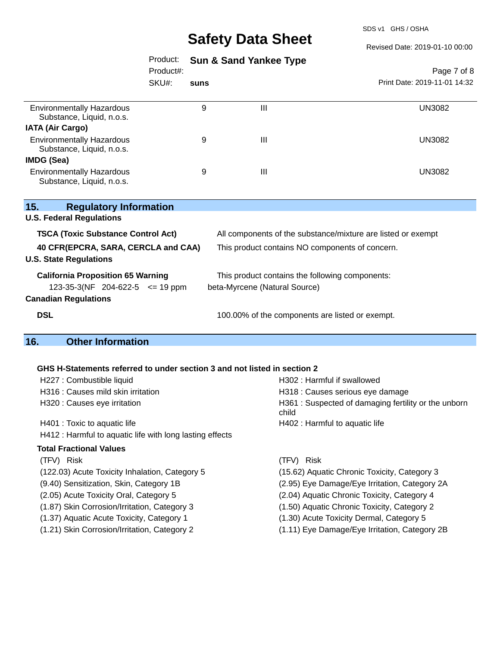SDS v1 GHS / OSHA

Revised Date: 2019-01-10 00:00

|                                                                                | Product:<br>Product#: |      | <b>Sun &amp; Sand Yankee Type</b>                                                | Page 7 of 8                  |  |
|--------------------------------------------------------------------------------|-----------------------|------|----------------------------------------------------------------------------------|------------------------------|--|
|                                                                                | SKU#:                 | suns |                                                                                  | Print Date: 2019-11-01 14:32 |  |
| <b>Environmentally Hazardous</b><br>Substance, Liquid, n.o.s.                  |                       | 9    | Ш                                                                                | UN3082                       |  |
| <b>IATA (Air Cargo)</b>                                                        |                       |      |                                                                                  |                              |  |
| <b>Environmentally Hazardous</b><br>Substance, Liquid, n.o.s.                  |                       | 9    | Ш                                                                                | UN3082                       |  |
| IMDG (Sea)                                                                     |                       |      |                                                                                  |                              |  |
| <b>Environmentally Hazardous</b><br>Substance, Liquid, n.o.s.                  |                       | 9    | Ш                                                                                | <b>UN3082</b>                |  |
| 15.<br><b>Regulatory Information</b><br><b>U.S. Federal Regulations</b>        |                       |      |                                                                                  |                              |  |
| <b>TSCA (Toxic Substance Control Act)</b>                                      |                       |      | All components of the substance/mixture are listed or exempt                     |                              |  |
| 40 CFR(EPCRA, SARA, CERCLA and CAA)<br><b>U.S. State Regulations</b>           |                       |      | This product contains NO components of concern.                                  |                              |  |
| <b>California Proposition 65 Warning</b><br>123-35-3(NF 204-622-5 $\le$ 19 ppm |                       |      | This product contains the following components:<br>beta-Myrcene (Natural Source) |                              |  |
| <b>Canadian Regulations</b>                                                    |                       |      |                                                                                  |                              |  |
| <b>DSL</b>                                                                     |                       |      | 100.00% of the components are listed or exempt.                                  |                              |  |

# **16. Other Information**

### **GHS H-Statements referred to under section 3 and not listed in section 2**

| H227 : Combustible liquid                                | H302 : Harmful if swallowed                                  |
|----------------------------------------------------------|--------------------------------------------------------------|
| H316 : Causes mild skin irritation                       | H318 : Causes serious eye damage                             |
| H320 : Causes eye irritation                             | H361: Suspected of damaging fertility or the unborn<br>child |
| H401 : Toxic to aquatic life                             | H402 : Harmful to aquatic life                               |
| H412 : Harmful to aquatic life with long lasting effects |                                                              |
| <b>Total Fractional Values</b>                           |                                                              |
| (TFV) Risk                                               | Risk<br>(TFV)                                                |
| (122.03) Acute Toxicity Inhalation, Category 5           | (15.62) Aquatic Chronic Toxicity, Category 3                 |
| (9.40) Sensitization, Skin, Category 1B                  | (2.95) Eye Damage/Eye Irritation, Category 2A                |
| (2.05) Acute Toxicity Oral, Category 5                   | (2.04) Aquatic Chronic Toxicity, Category 4                  |
| (1.87) Skin Corrosion/Irritation, Category 3             | (1.50) Aquatic Chronic Toxicity, Category 2                  |
| (1.37) Aquatic Acute Toxicity, Category 1                | (1.30) Acute Toxicity Dermal, Category 5                     |
| (1.21) Skin Corrosion/Irritation, Category 2             | (1.11) Eye Damage/Eye Irritation, Category 2B                |
|                                                          |                                                              |